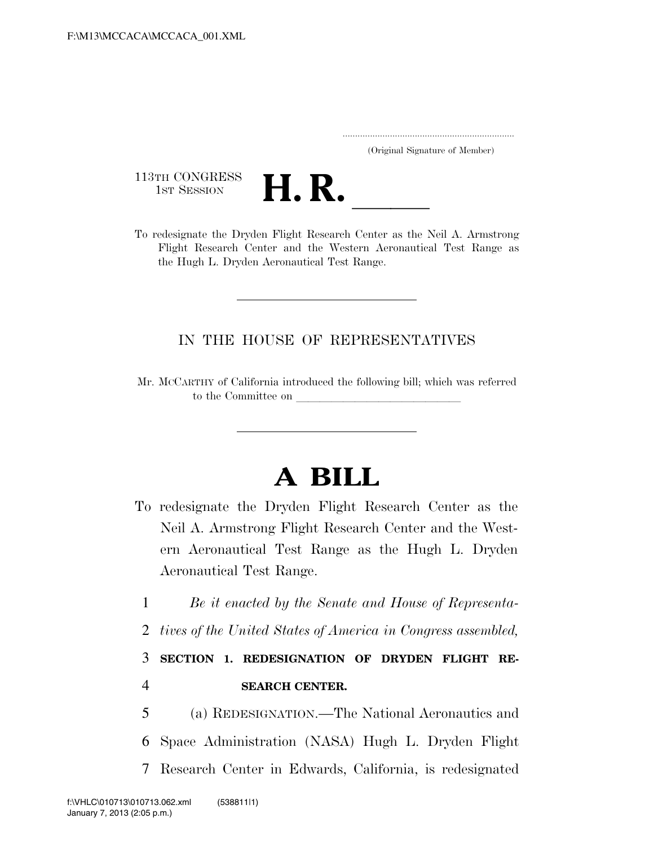..................................................................... (Original Signature of Member)

113TH CONGRESS<br>1st Session



113TH CONGRESS<br>
1ST SESSION<br>
To redesignate the Dryden Flight Research Center as the Neil A. Armstrong Flight Research Center and the Western Aeronautical Test Range as the Hugh L. Dryden Aeronautical Test Range.

## IN THE HOUSE OF REPRESENTATIVES

Mr. MCCARTHY of California introduced the following bill; which was referred to the Committee on

## **A BILL**

- To redesignate the Dryden Flight Research Center as the Neil A. Armstrong Flight Research Center and the Western Aeronautical Test Range as the Hugh L. Dryden Aeronautical Test Range.
	- 1 *Be it enacted by the Senate and House of Representa-*
	- 2 *tives of the United States of America in Congress assembled,*

3 **SECTION 1. REDESIGNATION OF DRYDEN FLIGHT RE-**4 **SEARCH CENTER.** 

5 (a) REDESIGNATION.—The National Aeronautics and 6 Space Administration (NASA) Hugh L. Dryden Flight 7 Research Center in Edwards, California, is redesignated